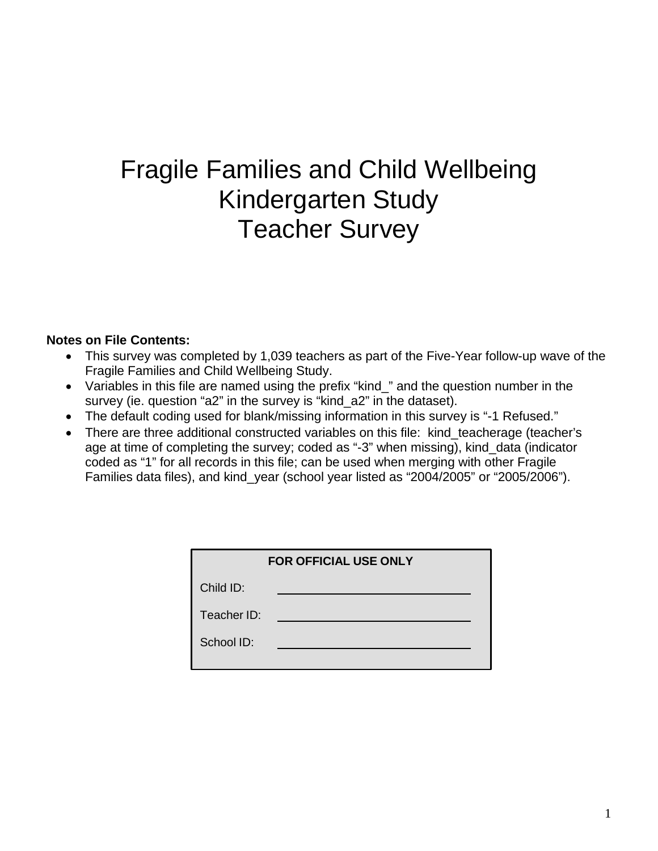# Fragile Families and Child Wellbeing Kindergarten Study Teacher Survey

# **Notes on File Contents:**

- This survey was completed by 1,039 teachers as part of the Five-Year follow-up wave of the Fragile Families and Child Wellbeing Study.
- Variables in this file are named using the prefix "kind\_" and the question number in the survey (ie. question "a2" in the survey is "kind\_a2" in the dataset).
- The default coding used for blank/missing information in this survey is "-1 Refused."
- There are three additional constructed variables on this file: kind\_teacherage (teacher's age at time of completing the survey; coded as "-3" when missing), kind\_data (indicator coded as "1" for all records in this file; can be used when merging with other Fragile Families data files), and kind\_year (school year listed as "2004/2005" or "2005/2006").

| <b>FOR OFFICIAL USE ONLY</b> |  |  |
|------------------------------|--|--|
| Child ID:                    |  |  |
| Teacher ID:                  |  |  |
| School ID:                   |  |  |
|                              |  |  |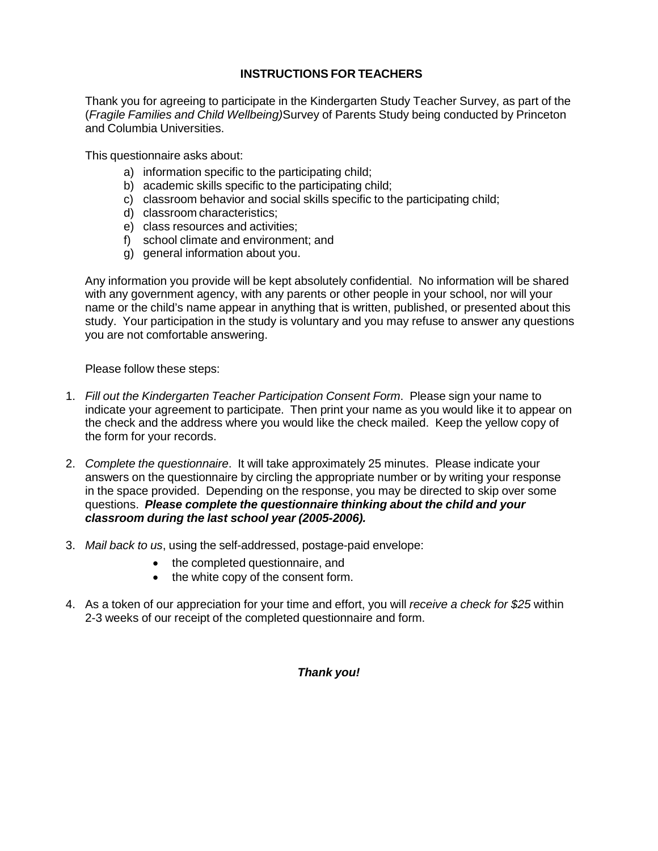#### **INSTRUCTIONS FOR TEACHERS**

Thank you for agreeing to participate in the Kindergarten Study Teacher Survey, as part of the (*Fragile Families and Child Wellbeing)*Survey of Parents Study being conducted by Princeton and Columbia Universities.

This questionnaire asks about:

- a) information specific to the participating child;
- b) academic skills specific to the participating child;
- c) classroom behavior and social skills specific to the participating child;
- d) classroom characteristics;
- e) class resources and activities;
- f) school climate and environment; and
- g) general information about you.

Any information you provide will be kept absolutely confidential. No information will be shared with any government agency, with any parents or other people in your school, nor will your name or the child's name appear in anything that is written, published, or presented about this study. Your participation in the study is voluntary and you may refuse to answer any questions you are not comfortable answering.

Please follow these steps:

- 1. *Fill out the Kindergarten Teacher Participation Consent Form*. Please sign your name to indicate your agreement to participate. Then print your name as you would like it to appear on the check and the address where you would like the check mailed. Keep the yellow copy of the form for your records.
- 2. *Complete the questionnaire*. It will take approximately 25 minutes. Please indicate your answers on the questionnaire by circling the appropriate number or by writing your response in the space provided. Depending on the response, you may be directed to skip over some questions. *Please complete the questionnaire thinking about the child and your classroom during the last school year (2005-2006).*
- 3. *Mail back to us*, using the self-addressed, postage-paid envelope:
	- the completed questionnaire, and
	- the white copy of the consent form.
- 4. As a token of our appreciation for your time and effort, you will *receive a check for \$25* within 2-3 weeks of our receipt of the completed questionnaire and form.

#### *Thank you!*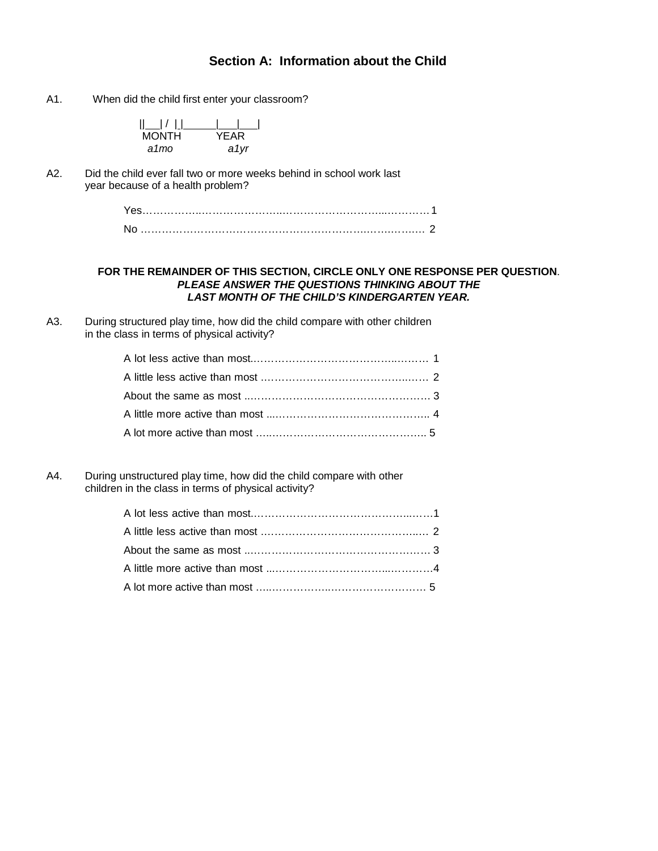# **Section A: Information about the Child**

A1. When did the child first enter your classroom?

| <b>MONTH</b> | YEAR |
|--------------|------|
| a1mo         | a1vr |

A2. Did the child ever fall two or more weeks behind in school work last year because of a health problem?

| <b>Nc</b> |  |
|-----------|--|

#### **FOR THE REMAINDER OF THIS SECTION, CIRCLE ONLY ONE RESPONSE PER QUESTION**. *PLEASE ANSWER THE QUESTIONS THINKING ABOUT THE LAST MONTH OF THE CHILD'S KINDERGARTEN YEAR.*

A3. During structured play time, how did the child compare with other children in the class in terms of physical activity?

A4. During unstructured play time, how did the child compare with other children in the class in terms of physical activity?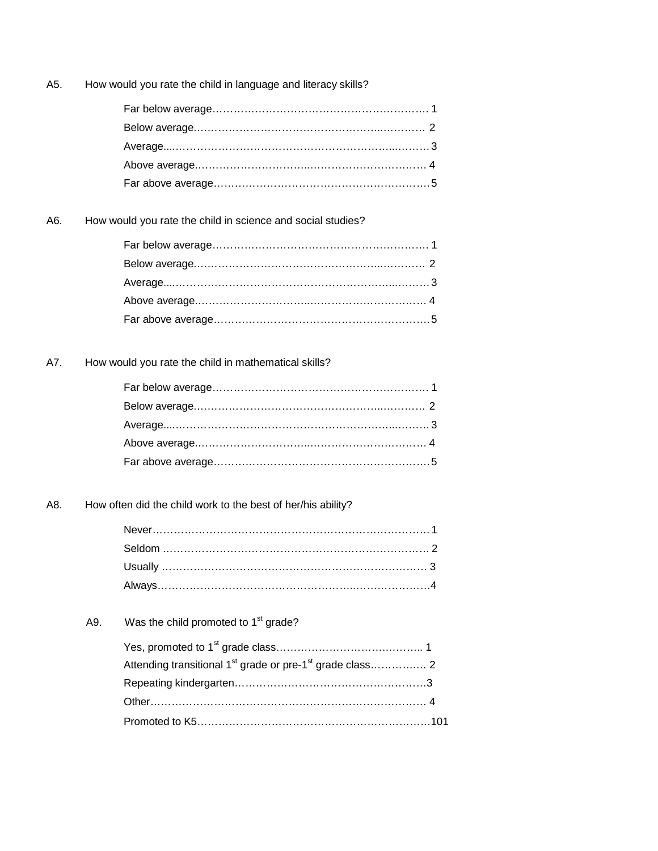A5. How would you rate the child in language and literacy skills?

A6. How would you rate the child in science and social studies?

A7. How would you rate the child in mathematical skills?

A8. How often did the child work to the best of her/his ability?

A9. Was the child promoted to  $1<sup>st</sup>$  grade?

| Attending transitional 1 <sup>st</sup> grade or pre-1 <sup>st</sup> grade class 2 |  |
|-----------------------------------------------------------------------------------|--|
|                                                                                   |  |
|                                                                                   |  |
|                                                                                   |  |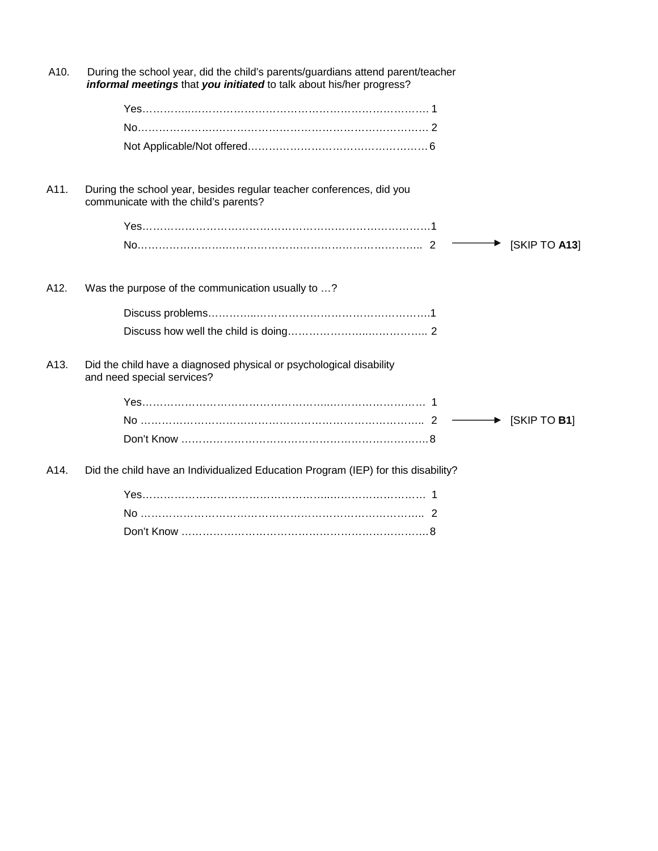| A10. | During the school year, did the child's parents/guardians attend parent/teacher<br>informal meetings that you initiated to talk about his/her progress? |                                        |  |
|------|---------------------------------------------------------------------------------------------------------------------------------------------------------|----------------------------------------|--|
|      |                                                                                                                                                         |                                        |  |
|      |                                                                                                                                                         |                                        |  |
|      |                                                                                                                                                         |                                        |  |
| A11. | During the school year, besides regular teacher conferences, did you<br>communicate with the child's parents?                                           |                                        |  |
|      |                                                                                                                                                         |                                        |  |
|      |                                                                                                                                                         | ▸<br>[SKIP TO A13]                     |  |
| A12. | Was the purpose of the communication usually to ?                                                                                                       |                                        |  |
|      |                                                                                                                                                         |                                        |  |
|      |                                                                                                                                                         |                                        |  |
| A13. | Did the child have a diagnosed physical or psychological disability<br>and need special services?                                                       |                                        |  |
|      |                                                                                                                                                         |                                        |  |
|      |                                                                                                                                                         | $\longrightarrow$ [SKIP TO <b>B1</b> ] |  |
|      |                                                                                                                                                         |                                        |  |
| A14. | Did the child have an Individualized Education Program (IEP) for this disability?                                                                       |                                        |  |
|      |                                                                                                                                                         |                                        |  |
|      |                                                                                                                                                         |                                        |  |
|      |                                                                                                                                                         |                                        |  |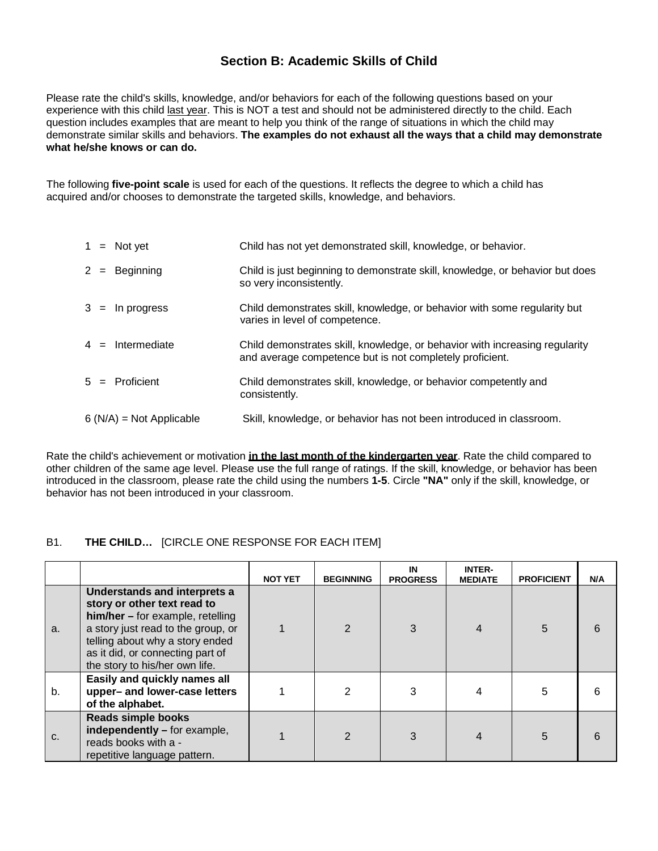# **Section B: Academic Skills of Child**

Please rate the child's skills, knowledge, and/or behaviors for each of the following questions based on your experience with this child last year. This is NOT a test and should not be administered directly to the child. Each question includes examples that are meant to help you think of the range of situations in which the child may demonstrate similar skills and behaviors. **The examples do not exhaust all the ways that a child may demonstrate what he/she knows or can do.**

The following **five-point scale** is used for each of the questions. It reflects the degree to which a child has acquired and/or chooses to demonstrate the targeted skills, knowledge, and behaviors.

|  | $1 = Not yet$             | Child has not yet demonstrated skill, knowledge, or behavior.                                                                           |
|--|---------------------------|-----------------------------------------------------------------------------------------------------------------------------------------|
|  | $2 =$ Beginning           | Child is just beginning to demonstrate skill, knowledge, or behavior but does<br>so very inconsistently.                                |
|  | $3 =$ In progress         | Child demonstrates skill, knowledge, or behavior with some regularity but<br>varies in level of competence.                             |
|  | $4 =$ Intermediate        | Child demonstrates skill, knowledge, or behavior with increasing regularity<br>and average competence but is not completely proficient. |
|  | $5 =$ Proficient          | Child demonstrates skill, knowledge, or behavior competently and<br>consistently.                                                       |
|  | $6(N/A)$ = Not Applicable | Skill, knowledge, or behavior has not been introduced in classroom.                                                                     |

Rate the child's achievement or motivation **in the last month of the kindergarten year**. Rate the child compared to other children of the same age level. Please use the full range of ratings. If the skill, knowledge, or behavior has been introduced in the classroom, please rate the child using the numbers **1-5**. Circle **"NA"** only if the skill, knowledge, or behavior has not been introduced in your classroom.

#### B1. **THE CHILD…** [CIRCLE ONE RESPONSE FOR EACH ITEM]

|                |                                                                                                                                                                                                                                                  | <b>NOT YET</b> | <b>BEGINNING</b> | IN<br><b>PROGRESS</b> | <b>INTER-</b><br><b>MEDIATE</b> | <b>PROFICIENT</b> | N/A |
|----------------|--------------------------------------------------------------------------------------------------------------------------------------------------------------------------------------------------------------------------------------------------|----------------|------------------|-----------------------|---------------------------------|-------------------|-----|
| a.             | Understands and interprets a<br>story or other text read to<br>$him/her$ – for example, retelling<br>a story just read to the group, or<br>telling about why a story ended<br>as it did, or connecting part of<br>the story to his/her own life. |                | $\mathcal{P}$    | 3                     | $\overline{4}$                  | 5                 | 6   |
| b.             | Easily and quickly names all<br>upper- and lower-case letters<br>of the alphabet.                                                                                                                                                                |                | 2                | 3                     |                                 | 5                 | 6   |
| C <sub>1</sub> | <b>Reads simple books</b><br>independently - for example,<br>reads books with a -<br>repetitive language pattern.                                                                                                                                |                | $\mathfrak{p}$   |                       |                                 | 5                 | 6   |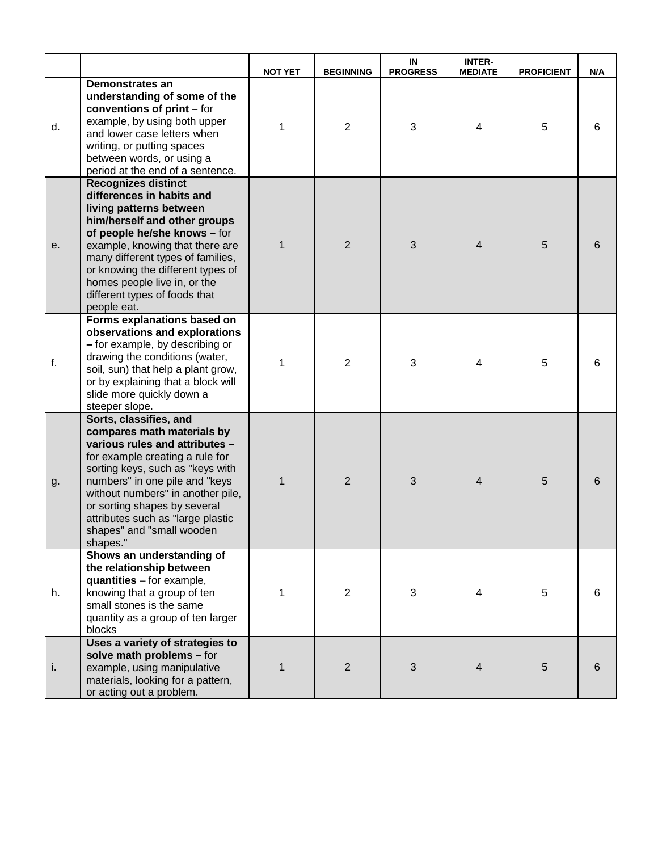|                |                                                                                                                                                                                                                                                                                                                                                    | <b>NOT YET</b> | <b>BEGINNING</b> | IN<br><b>PROGRESS</b> | <b>INTER-</b><br><b>MEDIATE</b> | <b>PROFICIENT</b> | N/A |
|----------------|----------------------------------------------------------------------------------------------------------------------------------------------------------------------------------------------------------------------------------------------------------------------------------------------------------------------------------------------------|----------------|------------------|-----------------------|---------------------------------|-------------------|-----|
| d.             | <b>Demonstrates an</b><br>understanding of some of the<br>conventions of print - for<br>example, by using both upper<br>and lower case letters when<br>writing, or putting spaces<br>between words, or using a<br>period at the end of a sentence.                                                                                                 | 1              | $\overline{2}$   | 3                     | 4                               | 5                 | 6   |
| е.             | <b>Recognizes distinct</b><br>differences in habits and<br>living patterns between<br>him/herself and other groups<br>of people he/she knows - for<br>example, knowing that there are<br>many different types of families,<br>or knowing the different types of<br>homes people live in, or the<br>different types of foods that<br>people eat.    | $\mathbf{1}$   | $\overline{2}$   | 3                     | 4                               | 5                 | 6   |
| f <sub>r</sub> | Forms explanations based on<br>observations and explorations<br>- for example, by describing or<br>drawing the conditions (water,<br>soil, sun) that help a plant grow,<br>or by explaining that a block will<br>slide more quickly down a<br>steeper slope.                                                                                       | 1              | $\overline{2}$   | 3                     | 4                               | 5                 | 6   |
| g.             | Sorts, classifies, and<br>compares math materials by<br>various rules and attributes -<br>for example creating a rule for<br>sorting keys, such as "keys with<br>numbers" in one pile and "keys<br>without numbers" in another pile,<br>or sorting shapes by several<br>attributes such as "large plastic<br>shapes" and "small wooden<br>shapes." | $\mathbf 1$    | $\overline{2}$   | 3                     | 4                               | 5                 | 6   |
| h.             | Shows an understanding of<br>the relationship between<br>quantities - for example,<br>knowing that a group of ten<br>small stones is the same<br>quantity as a group of ten larger<br>blocks                                                                                                                                                       | 1              | $\overline{2}$   | $\mathbf{3}$          | $\overline{4}$                  | 5                 | 6   |
| i.             | Uses a variety of strategies to<br>solve math problems - for<br>example, using manipulative<br>materials, looking for a pattern,<br>or acting out a problem.                                                                                                                                                                                       | $\mathbf 1$    | $\overline{2}$   | $\mathfrak{B}$        | 4                               | 5                 | 6   |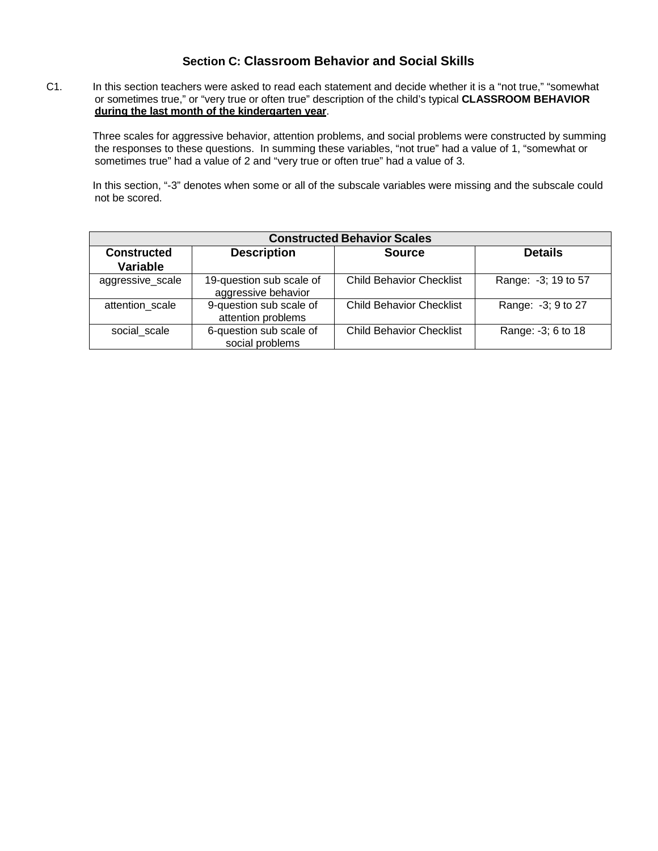# **Section C: Classroom Behavior and Social Skills**

C1. In this section teachers were asked to read each statement and decide whether it is a "not true," "somewhat or sometimes true," or "very true or often true" description of the child's typical **CLASSROOM BEHAVIOR during the last month of the kindergarten year**.

Three scales for aggressive behavior, attention problems, and social problems were constructed by summing the responses to these questions. In summing these variables, "not true" had a value of 1, "somewhat or sometimes true" had a value of 2 and "very true or often true" had a value of 3.

In this section, "-3" denotes when some or all of the subscale variables were missing and the subscale could not be scored.

|                                | <b>Constructed Behavior Scales</b>              |                                 |                     |  |  |  |
|--------------------------------|-------------------------------------------------|---------------------------------|---------------------|--|--|--|
| <b>Constructed</b><br>Variable | <b>Description</b>                              | <b>Source</b>                   | <b>Details</b>      |  |  |  |
| aggressive_scale               | 19-question sub scale of<br>aggressive behavior | <b>Child Behavior Checklist</b> | Range: -3; 19 to 57 |  |  |  |
| attention scale                | 9-question sub scale of<br>attention problems   | <b>Child Behavior Checklist</b> | Range: -3; 9 to 27  |  |  |  |
| social scale                   | 6-question sub scale of<br>social problems      | <b>Child Behavior Checklist</b> | Range: -3; 6 to 18  |  |  |  |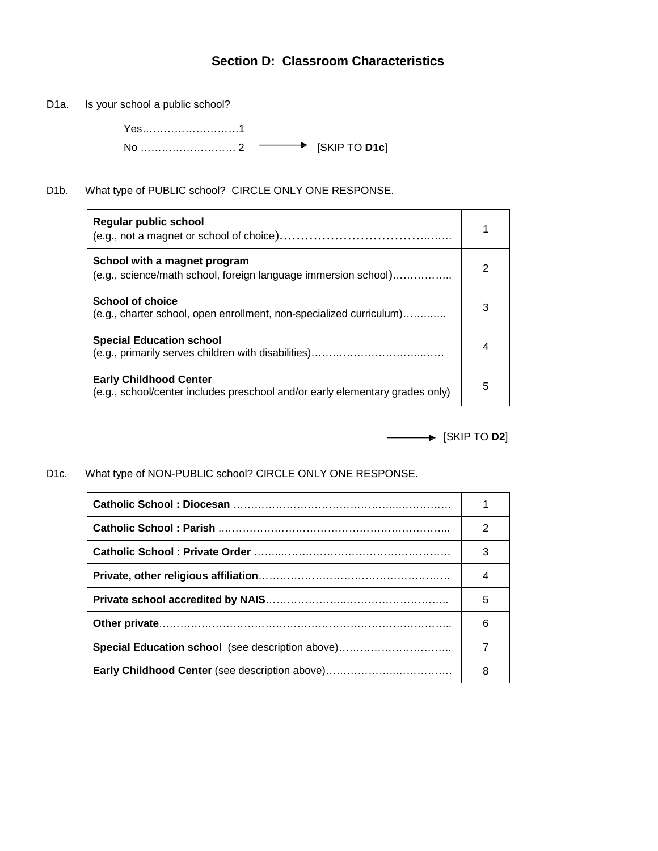# **Section D: Classroom Characteristics**

D1a. Is your school a public school?

Yes………………………1 No ……………………… 2 [SKIP TO **D1c**]

D1b. What type of PUBLIC school? CIRCLE ONLY ONE RESPONSE.

| <b>Regular public school</b>                                                                                  |   |
|---------------------------------------------------------------------------------------------------------------|---|
| School with a magnet program<br>(e.g., science/math school, foreign language immersion school)                | 2 |
| <b>School of choice</b><br>(e.g., charter school, open enrollment, non-specialized curriculum)                | 3 |
| <b>Special Education school</b>                                                                               |   |
| <b>Early Childhood Center</b><br>(e.g., school/center includes preschool and/or early elementary grades only) | 5 |

[SKIP TO **D2**]

D1c. What type of NON-PUBLIC school? CIRCLE ONLY ONE RESPONSE.

|                                                         | 2 |
|---------------------------------------------------------|---|
|                                                         | 3 |
|                                                         | 4 |
|                                                         | 5 |
|                                                         | 6 |
| <b>Special Education school</b> (see description above) |   |
| Early Childhood Center (see description above)          | 8 |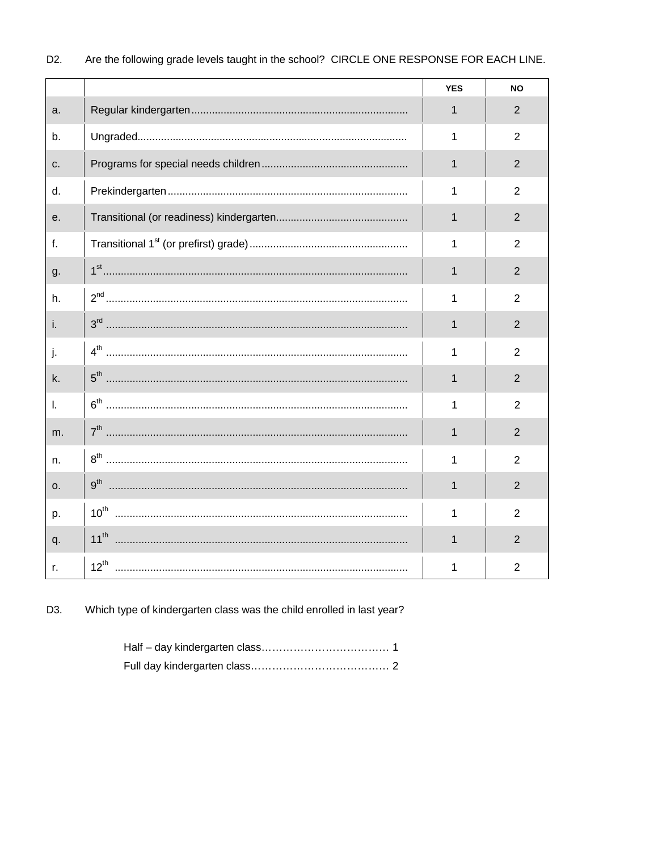|    |                                                    | <b>YES</b> | <b>NO</b>      |
|----|----------------------------------------------------|------------|----------------|
| a. |                                                    | 1          | 2              |
| b. |                                                    | 1          | $\overline{2}$ |
| c. |                                                    | 1          | 2              |
| d. |                                                    | 1          | $\overline{2}$ |
| е. |                                                    | 1          | 2              |
| f. |                                                    | 1          | $\overline{2}$ |
| g. |                                                    | 1          | 2              |
| h. |                                                    | 1          | $\overline{2}$ |
| i. |                                                    | 1          | $\overline{2}$ |
| j. |                                                    | 1          | $\overline{2}$ |
| k. | 5 <sup>th</sup> ………………………………………………………………………………………… | 1          | $\overline{2}$ |
| I. |                                                    | 1          | $\overline{2}$ |
| m. |                                                    | 1          | $\overline{2}$ |
| n. |                                                    | 1          | $\overline{2}$ |
| 0. |                                                    | 1          | 2              |
| p. |                                                    | 1          | $\overline{2}$ |
| q. | $11^{th}$                                          | 1          | $\overline{2}$ |
| r. | $12^{th}$                                          | 1          | $\overline{2}$ |

#### D<sub>2</sub>. Are the following grade levels taught in the school? CIRCLE ONE RESPONSE FOR EACH LINE.

D3. Which type of kindergarten class was the child enrolled in last year?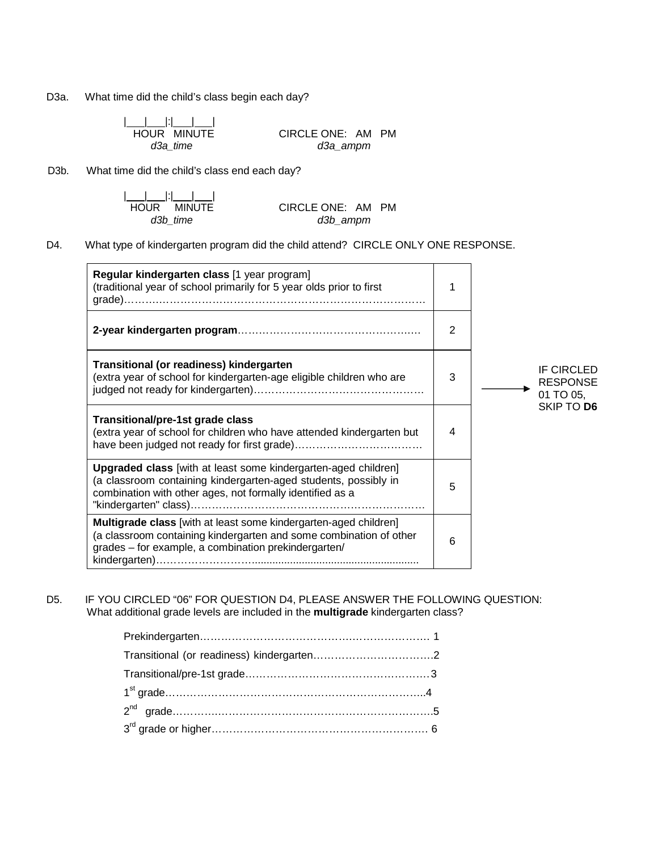D3a. What time did the child's class begin each day?

| | |:| | | UR MINUTE CIRCLE ONE: AM PM<br>d3a time d3a ampm *d3a\_time d3a\_ampm*

D3b. What time did the child's class end each day?

<u>| | |</u>:| | | |<br>| HOUR | MINUTE  $\overline{HR}$  MINUTE CIRCLE ONE: AM PM<br>d3b\_time d3b\_ampm *d3b\_time d3b\_ampm*

D4. What type of kindergarten program did the child attend? CIRCLE ONLY ONE RESPONSE.

| Regular kindergarten class [1 year program]<br>(traditional year of school primarily for 5 year olds prior to first                                                                            |   |                                                   |
|------------------------------------------------------------------------------------------------------------------------------------------------------------------------------------------------|---|---------------------------------------------------|
|                                                                                                                                                                                                | 2 |                                                   |
| <b>Transitional (or readiness) kindergarten</b><br>(extra year of school for kindergarten-age eligible children who are                                                                        | 3 | <b>IF CIRCLED</b><br><b>RESPONSE</b><br>01 TO 05, |
| Transitional/pre-1st grade class<br>(extra year of school for children who have attended kindergarten but                                                                                      | 4 | SKIP TO D6                                        |
| Upgraded class [with at least some kindergarten-aged children]<br>(a classroom containing kindergarten-aged students, possibly in<br>combination with other ages, not formally identified as a | 5 |                                                   |
| Multigrade class [with at least some kindergarten-aged children]<br>(a classroom containing kindergarten and some combination of other<br>grades - for example, a combination prekindergarten/ | 6 |                                                   |

D5. IF YOU CIRCLED "06" FOR QUESTION D4, PLEASE ANSWER THE FOLLOWING QUESTION: What additional grade levels are included in the **multigrade** kindergarten class?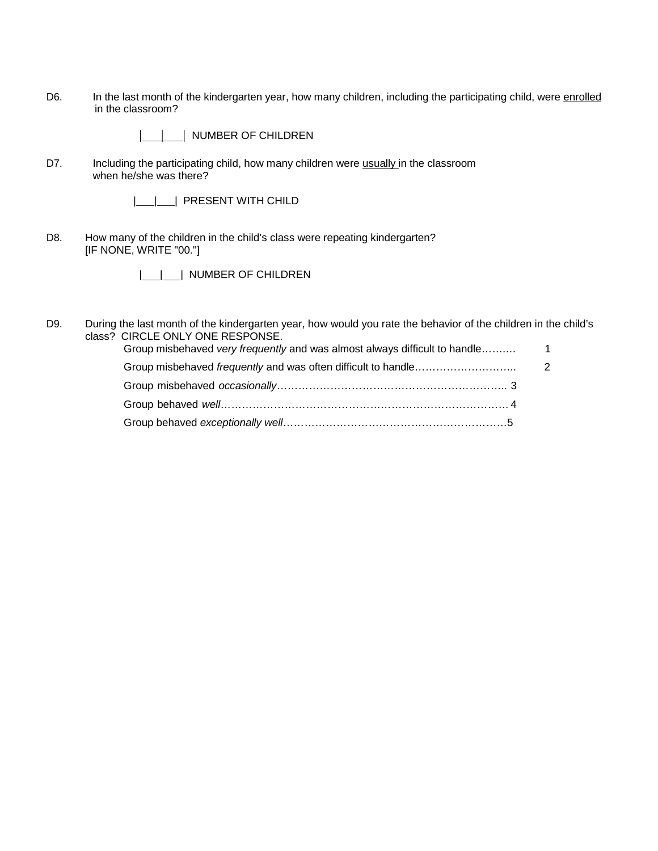D6. In the last month of the kindergarten year, how many children, including the participating child, were enrolled in the classroom?

|  | NUMBER OF CHILDREN |  |  |
|--|--------------------|--|--|
|--|--------------------|--|--|

D7. Including the participating child, how many children were usually in the classroom when he/she was there?



D8. How many of the children in the child's class were repeating kindergarten? [IF NONE, WRITE "00."]

| | | | NUMBER OF CHILDREN

| D9. | During the last month of the kindergarten year, how would you rate the behavior of the children in the child's<br>class? CIRCLE ONLY ONE RESPONSE. |  |
|-----|----------------------------------------------------------------------------------------------------------------------------------------------------|--|
|     | Group misbehaved very frequently and was almost always difficult to handle                                                                         |  |
|     |                                                                                                                                                    |  |
|     |                                                                                                                                                    |  |
|     |                                                                                                                                                    |  |
|     |                                                                                                                                                    |  |
|     |                                                                                                                                                    |  |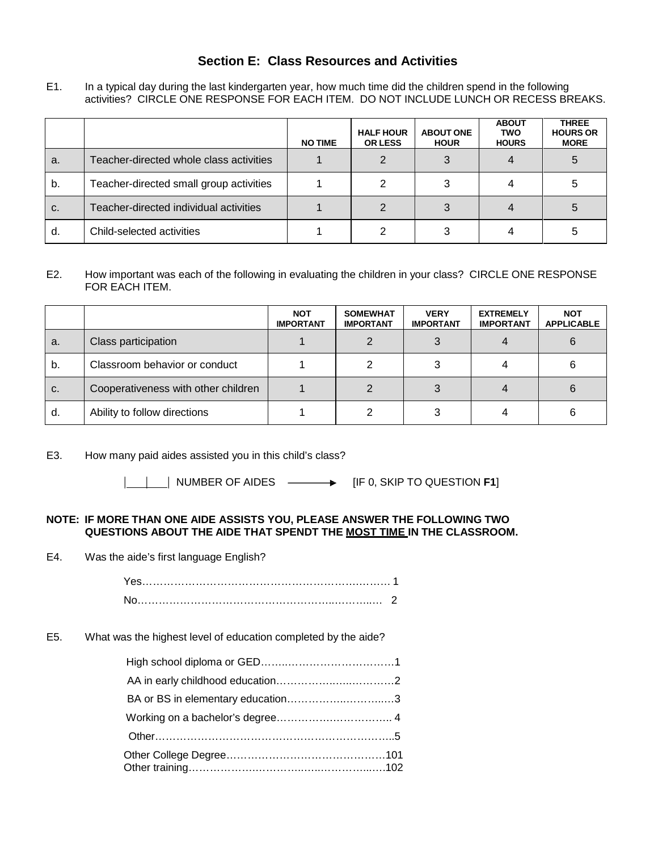### **Section E: Class Resources and Activities**

E1. In a typical day during the last kindergarten year, how much time did the children spend in the following activities? CIRCLE ONE RESPONSE FOR EACH ITEM. DO NOT INCLUDE LUNCH OR RECESS BREAKS.

|    |                                         | <b>NO TIME</b> | <b>HALF HOUR</b><br><b>OR LESS</b> | <b>ABOUT ONE</b><br><b>HOUR</b> | <b>ABOUT</b><br><b>TWO</b><br><b>HOURS</b> | <b>THREE</b><br><b>HOURS OR</b><br><b>MORE</b> |
|----|-----------------------------------------|----------------|------------------------------------|---------------------------------|--------------------------------------------|------------------------------------------------|
| a. | Teacher-directed whole class activities |                |                                    |                                 |                                            |                                                |
| b. | Teacher-directed small group activities |                |                                    |                                 |                                            |                                                |
| C. | Teacher-directed individual activities  |                |                                    |                                 |                                            |                                                |
| d. | Child-selected activities               |                |                                    |                                 |                                            |                                                |

#### E2. How important was each of the following in evaluating the children in your class? CIRCLE ONE RESPONSE FOR EACH ITEM.

|    |                                     | <b>NOT</b><br><b>IMPORTANT</b> | <b>SOMEWHAT</b><br><b>IMPORTANT</b> | <b>VERY</b><br><b>IMPORTANT</b> | <b>EXTREMELY</b><br><b>IMPORTANT</b> | <b>NOT</b><br><b>APPLICABLE</b> |
|----|-------------------------------------|--------------------------------|-------------------------------------|---------------------------------|--------------------------------------|---------------------------------|
| a. | Class participation                 |                                |                                     |                                 |                                      | 6                               |
| b. | Classroom behavior or conduct       |                                |                                     |                                 |                                      | 6                               |
| C. | Cooperativeness with other children |                                |                                     |                                 |                                      |                                 |
| d. | Ability to follow directions        |                                |                                     |                                 |                                      | 6                               |

E3. How many paid aides assisted you in this child's class?

| | | | | NUMBER OF AIDES  $\longrightarrow$  [IF 0, SKIP TO QUESTION **F1**]

#### **NOTE: IF MORE THAN ONE AIDE ASSISTS YOU, PLEASE ANSWER THE FOLLOWING TWO QUESTIONS ABOUT THE AIDE THAT SPENDT THE MOST TIME IN THE CLASSROOM.**

E4. Was the aide's first language English?

E5. What was the highest level of education completed by the aide?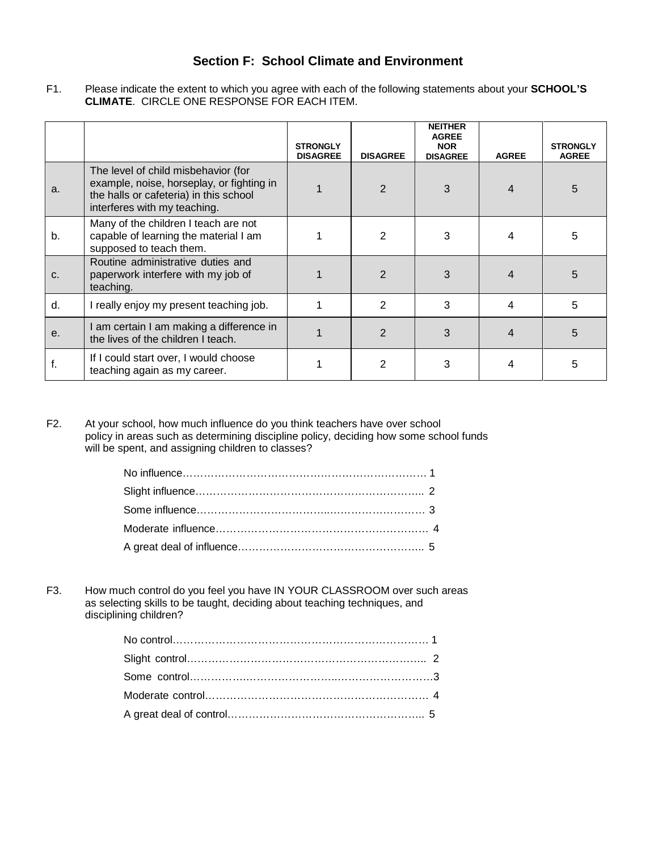### **Section F: School Climate and Environment**

F1. Please indicate the extent to which you agree with each of the following statements about your **SCHOOL'S CLIMATE**. CIRCLE ONE RESPONSE FOR EACH ITEM.

|    |                                                                                                                                                            | <b>STRONGLY</b><br><b>DISAGREE</b> | <b>DISAGREE</b> | <b>NEITHER</b><br><b>AGREE</b><br><b>NOR</b><br><b>DISAGREE</b> | <b>AGREE</b> | <b>STRONGLY</b><br><b>AGREE</b> |
|----|------------------------------------------------------------------------------------------------------------------------------------------------------------|------------------------------------|-----------------|-----------------------------------------------------------------|--------------|---------------------------------|
| a. | The level of child misbehavior (for<br>example, noise, horseplay, or fighting in<br>the halls or cafeteria) in this school<br>interferes with my teaching. |                                    | 2               | 3                                                               | 4            | 5                               |
| b. | Many of the children I teach are not<br>capable of learning the material I am<br>supposed to teach them.                                                   |                                    | 2               | 3                                                               |              | 5                               |
| C. | Routine administrative duties and<br>paperwork interfere with my job of<br>teaching.                                                                       |                                    | $\mathcal{P}$   | 3                                                               |              | 5                               |
| d. | I really enjoy my present teaching job.                                                                                                                    |                                    | $\mathbf{2}$    | 3                                                               | 4            | 5                               |
| е. | I am certain I am making a difference in<br>the lives of the children I teach.                                                                             |                                    | $\mathcal{P}$   | 3                                                               | 4            | 5                               |
|    | If I could start over, I would choose<br>teaching again as my career.                                                                                      |                                    | 2               | 3                                                               |              | 5                               |

F2. At your school, how much influence do you think teachers have over school policy in areas such as determining discipline policy, deciding how some school funds will be spent, and assigning children to classes?

F3. How much control do you feel you have IN YOUR CLASSROOM over such areas as selecting skills to be taught, deciding about teaching techniques, and disciplining children?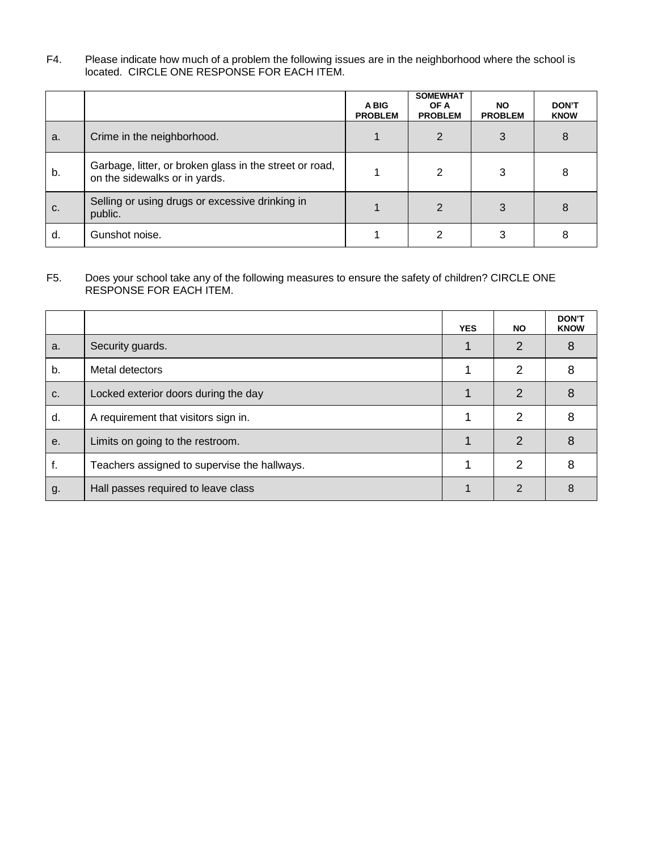F4. Please indicate how much of a problem the following issues are in the neighborhood where the school is located. CIRCLE ONE RESPONSE FOR EACH ITEM.

|    |                                                                                          | A BIG<br><b>PROBLEM</b> | <b>SOMEWHAT</b><br>OF A<br><b>PROBLEM</b> | <b>NO</b><br><b>PROBLEM</b> | <b>DON'T</b><br><b>KNOW</b> |
|----|------------------------------------------------------------------------------------------|-------------------------|-------------------------------------------|-----------------------------|-----------------------------|
| a. | Crime in the neighborhood.                                                               |                         | 2                                         | 3                           | 8                           |
| b. | Garbage, litter, or broken glass in the street or road,<br>on the sidewalks or in yards. |                         | 2                                         | 3                           | 8                           |
| C. | Selling or using drugs or excessive drinking in<br>public.                               |                         | 2                                         | 3                           | 8                           |
| d. | Gunshot noise.                                                                           |                         |                                           | 3                           | 8                           |

#### F5. Does your school take any of the following measures to ensure the safety of children? CIRCLE ONE RESPONSE FOR EACH ITEM.

|    |                                              | <b>YES</b> | NO. | <b>DON'T</b><br><b>KNOW</b> |
|----|----------------------------------------------|------------|-----|-----------------------------|
| a. | Security guards.                             |            | 2   | 8                           |
| b. | Metal detectors                              |            | 2   | 8                           |
| C. | Locked exterior doors during the day         |            | 2   | 8                           |
| d. | A requirement that visitors sign in.         |            | 2   | 8                           |
| е. | Limits on going to the restroom.             |            | 2   | 8                           |
| f. | Teachers assigned to supervise the hallways. |            | 2   | 8                           |
| g. | Hall passes required to leave class          |            | 2   | 8                           |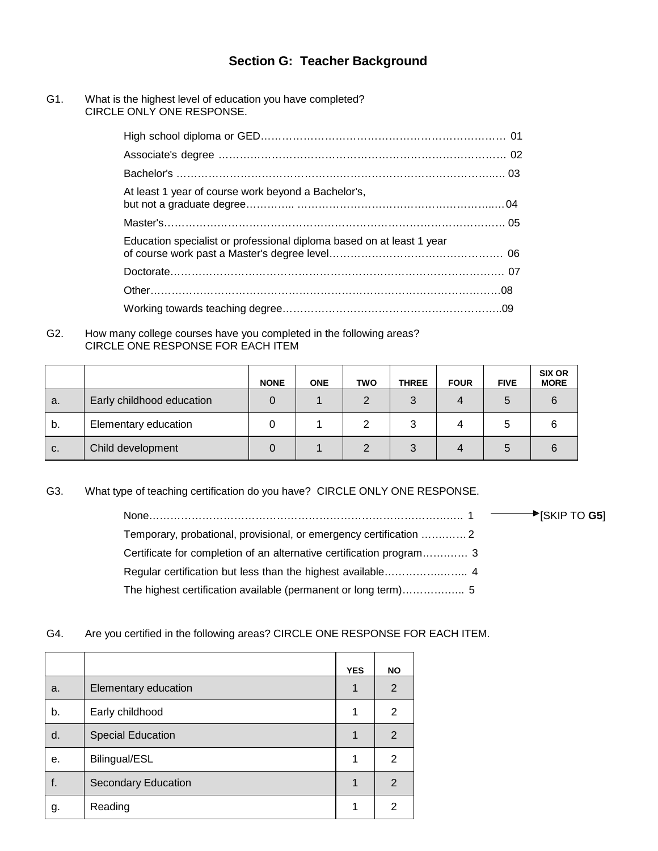## **Section G: Teacher Background**

G1. What is the highest level of education you have completed? CIRCLE ONLY ONE RESPONSE.

| At least 1 year of course work beyond a Bachelor's,                   |  |
|-----------------------------------------------------------------------|--|
|                                                                       |  |
| Education specialist or professional diploma based on at least 1 year |  |
|                                                                       |  |
|                                                                       |  |
|                                                                       |  |

G2. How many college courses have you completed in the following areas? CIRCLE ONE RESPONSE FOR EACH ITEM

|    |                           | <b>NONE</b> | <b>ONE</b> | <b>TWO</b> | <b>THREE</b> | <b>FOUR</b> | <b>FIVE</b> | <b>SIX OR</b><br><b>MORE</b> |
|----|---------------------------|-------------|------------|------------|--------------|-------------|-------------|------------------------------|
| a. | Early childhood education |             |            |            | C            |             | G           | 6                            |
| b. | Elementary education      |             |            |            | 3            |             |             |                              |
| C. | Child development         |             |            |            |              |             | b           | 6                            |

G3. What type of teaching certification do you have? CIRCLE ONLY ONE RESPONSE.

None………………………………………………………………………….…. 1 [SKIP TO **G5**] Temporary, probational, provisional, or emergency certification …….……2 Certificate for completion of an alternative certification program…….…… 3 Regular certification but less than the highest available…………….…….. 4 The highest certification available (permanent or long term)………….….. 5

G4. Are you certified in the following areas? CIRCLE ONE RESPONSE FOR EACH ITEM.

|    |                            | <b>YES</b> | <b>NO</b> |
|----|----------------------------|------------|-----------|
| a. | Elementary education       |            | 2         |
| b. | Early childhood            | 1          | 2         |
| d. | <b>Special Education</b>   |            | 2         |
| е. | Bilingual/ESL              |            | 2         |
| f. | <b>Secondary Education</b> |            | 2         |
| g. | Reading                    |            | 2         |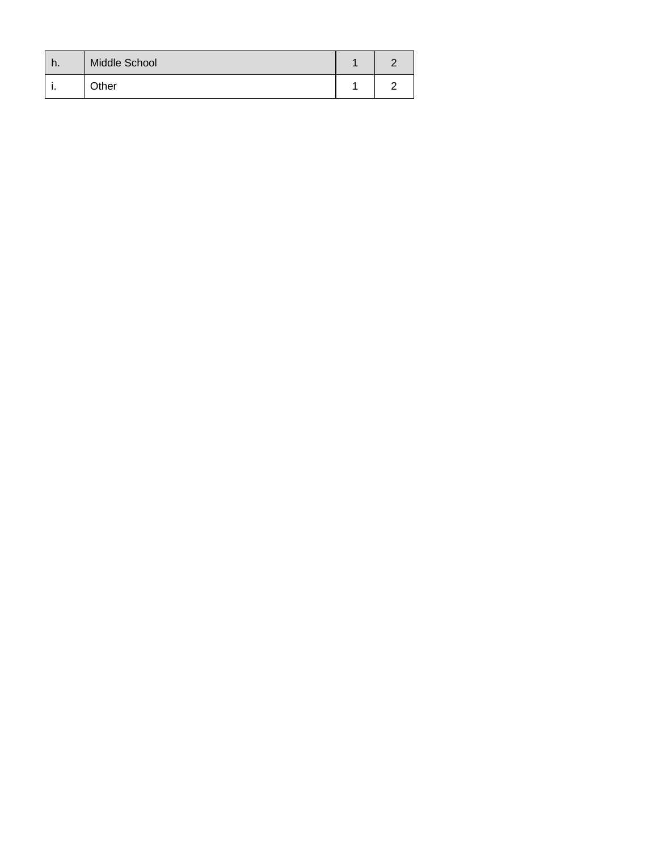| . . | Middle School |  |
|-----|---------------|--|
|     | Other         |  |